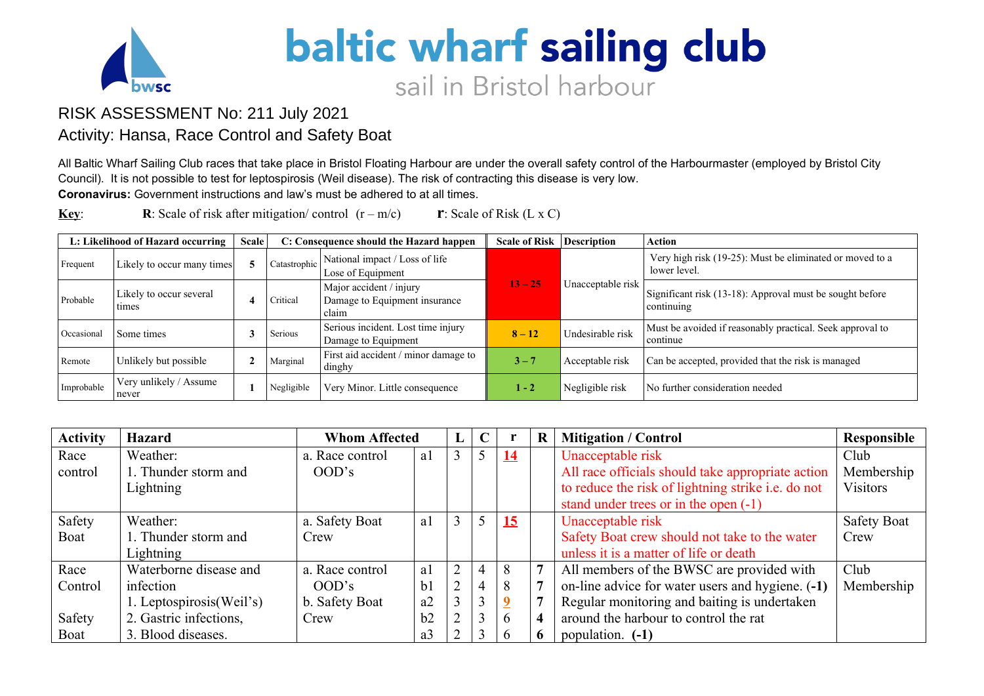

## baltic wharf sailing club sail in Bristol harbour

## RISK ASSESSMENT No: 211 July 2021

## Activity: Hansa, Race Control and Safety Boat

All Baltic Wharf Sailing Club races that take place in Bristol Floating Harbour are under the overall safety control of the Harbourmaster (employed by Bristol City Council). It is not possible to test for leptospirosis (Weil disease). The risk of contracting this disease is very low. **Coronavirus:** Government instructions and law's must be adhered to at all times.

**Key: R**: Scale of risk after mitigation/ control  $(r - m/c)$  **r**: Scale of Risk (L x C)

|            | L: Likelihood of Hazard occurring | <b>Scale</b> |              | C: Consequence should the Hazard happen                           | <b>Scale of Risk</b> | <b>Description</b> | <b>Action</b>                                                            |
|------------|-----------------------------------|--------------|--------------|-------------------------------------------------------------------|----------------------|--------------------|--------------------------------------------------------------------------|
| Frequent   | Likely to occur many times        |              | Catastrophic | National impact / Loss of life<br>Lose of Equipment               |                      |                    | Very high risk (19-25): Must be eliminated or moved to a<br>lower level. |
| Probable   | Likely to occur several<br>times  |              | Critical     | Major accident / injury<br>Damage to Equipment insurance<br>claim | $13 - 25$            | Unacceptable risk  | Significant risk (13-18): Approval must be sought before<br>continuing   |
| Occasiona  | Some times                        |              | Serious      | Serious incident. Lost time injury<br>Damage to Equipment         | $8 - 12$             | Undesirable risk   | Must be avoided if reasonably practical. Seek approval to<br>continue    |
| Remote     | Unlikely but possible             |              | Marginal     | First aid accident / minor damage to<br>dinghy                    | $3 - 7$              | Acceptable risk    | Can be accepted, provided that the risk is managed                       |
| Improbable | Very unlikely / Assume<br>never   |              | Negligible   | Very Minor. Little consequence                                    | $1 - 2$              | Negligible risk    | No further consideration needed                                          |

| <b>Activity</b> | <b>Hazard</b>             | <b>Whom Affected</b> |                | $\mathbf C$    |           | $\mathbf{R}$ | <b>Mitigation / Control</b>                        | Responsible        |
|-----------------|---------------------------|----------------------|----------------|----------------|-----------|--------------|----------------------------------------------------|--------------------|
| Race            | Weather:                  | a. Race control      | a1             |                | <u>14</u> |              | Unacceptable risk                                  | Club               |
| control         | 1. Thunder storm and      | OOD's                |                |                |           |              | All race officials should take appropriate action  | Membership         |
|                 | Lightning                 |                      |                |                |           |              | to reduce the risk of lightning strike i.e. do not | <b>Visitors</b>    |
|                 |                           |                      |                |                |           |              | stand under trees or in the open $(-1)$            |                    |
| Safety          | Weather:                  | a. Safety Boat       | a1             | 5              | 15        |              | Unacceptable risk                                  | <b>Safety Boat</b> |
| Boat            | 1. Thunder storm and      | Crew                 |                |                |           |              | Safety Boat crew should not take to the water      | Crew               |
|                 | Lightning                 |                      |                |                |           |              | unless it is a matter of life or death             |                    |
| Race            | Waterborne disease and    | a. Race control      | a1             | $\overline{4}$ | 8         |              | All members of the BWSC are provided with          | Club               |
| Control         | infection                 | OOD's                | b <sub>1</sub> | 4              | 8         |              | on-line advice for water users and hygiene. (-1)   | Membership         |
|                 | 1. Leptospirosis (Weil's) | b. Safety Boat       | a2             | 3              |           |              | Regular monitoring and baiting is undertaken       |                    |
| Safety          | 2. Gastric infections,    | Crew                 | b2             | 3              | 6         |              | around the harbour to control the rat              |                    |
| Boat            | 3. Blood diseases.        |                      | a3             | 3              |           |              | population. (-1)                                   |                    |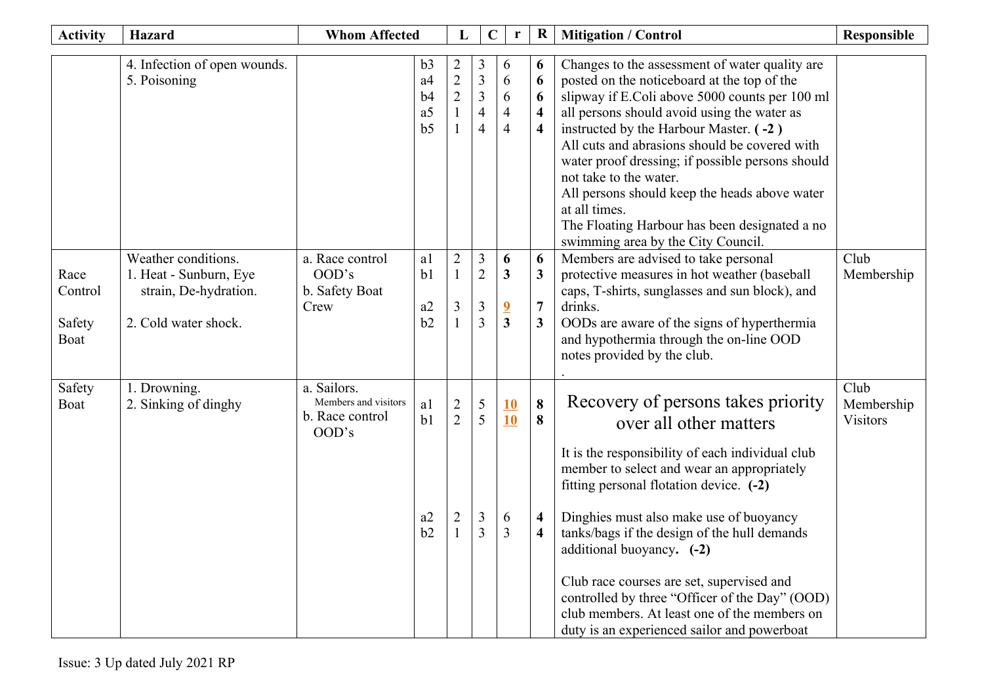| <b>Activity</b>                   | <b>Hazard</b>                                                                                  | <b>Whom Affected</b>                                            |                                                                | L                                                  |                                                                           | $\bf R$<br>$\mathbf C$<br>r                                  |                                                                   | <b>Mitigation / Control</b>                                                                                                                                                                                                                                                                                                                                                                                                                                                                                                      | <b>Responsible</b>                    |
|-----------------------------------|------------------------------------------------------------------------------------------------|-----------------------------------------------------------------|----------------------------------------------------------------|----------------------------------------------------|---------------------------------------------------------------------------|--------------------------------------------------------------|-------------------------------------------------------------------|----------------------------------------------------------------------------------------------------------------------------------------------------------------------------------------------------------------------------------------------------------------------------------------------------------------------------------------------------------------------------------------------------------------------------------------------------------------------------------------------------------------------------------|---------------------------------------|
|                                   | 4. Infection of open wounds.<br>5. Poisoning                                                   |                                                                 | b3<br>a <sub>4</sub><br>b4<br>a <sub>5</sub><br>b <sub>5</sub> | $\overline{2}$<br>$\overline{2}$<br>$\overline{2}$ | 3<br>$\overline{3}$<br>$\mathfrak{Z}$<br>$\overline{4}$<br>$\overline{4}$ | 6<br>6<br>6<br>$\overline{4}$<br>$\overline{4}$              | 6<br>6<br>6<br>$\overline{\mathbf{4}}$<br>$\overline{\mathbf{4}}$ | Changes to the assessment of water quality are<br>posted on the noticeboard at the top of the<br>slipway if E.Coli above 5000 counts per 100 ml<br>all persons should avoid using the water as<br>instructed by the Harbour Master. (-2)<br>All cuts and abrasions should be covered with<br>water proof dressing; if possible persons should<br>not take to the water.<br>All persons should keep the heads above water<br>at all times.<br>The Floating Harbour has been designated a no<br>swimming area by the City Council. |                                       |
| Race<br>Control<br>Safety<br>Boat | Weather conditions.<br>1. Heat - Sunburn, Eye<br>strain, De-hydration.<br>2. Cold water shock. | a. Race control<br>OOD's<br>b. Safety Boat<br>Crew              | a1<br>b <sub>1</sub><br>a2<br>b2                               | $\overline{2}$<br>1<br>3                           | $\mathfrak{Z}$<br>$\overline{2}$<br>3<br>$\overline{3}$                   | 6<br>3<br>$\overline{\mathbf{2}}$<br>$\overline{\mathbf{3}}$ | 6<br>$\overline{\mathbf{3}}$<br>$\overline{7}$<br>3               | Members are advised to take personal<br>protective measures in hot weather (baseball<br>caps, T-shirts, sunglasses and sun block), and<br>drinks.<br>OODs are aware of the signs of hyperthermia<br>and hypothermia through the on-line OOD<br>notes provided by the club.                                                                                                                                                                                                                                                       | Club<br>Membership                    |
| Safety<br>Boat                    | 1. Drowning.<br>2. Sinking of dinghy                                                           | a. Sailors.<br>Members and visitors<br>b. Race control<br>OOD's | a1<br>b <sub>1</sub><br>a2<br>b2                               | $\overline{2}$<br>$\overline{2}$<br>2              | $\mathfrak{S}$<br>5<br>$\mathfrak{Z}$<br>3                                | <u>10</u><br>10<br>6<br>3                                    | 8<br>8<br>$\overline{\mathbf{4}}$<br>$\overline{\mathbf{4}}$      | Recovery of persons takes priority<br>over all other matters<br>It is the responsibility of each individual club<br>member to select and wear an appropriately<br>fitting personal flotation device. (-2)<br>Dinghies must also make use of buoyancy<br>tanks/bags if the design of the hull demands<br>additional buoyancy. (-2)<br>Club race courses are set, supervised and<br>controlled by three "Officer of the Day" (OOD)<br>club members. At least one of the members on<br>duty is an experienced sailor and powerboat  | Club<br>Membership<br><b>Visitors</b> |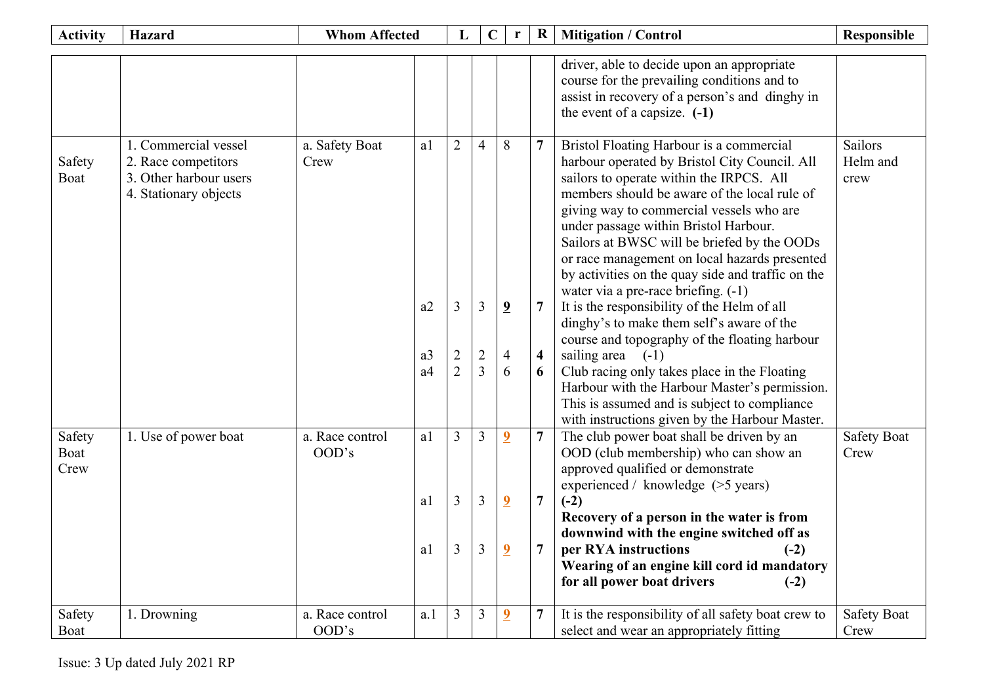| <b>Activity</b>        | <b>Hazard</b>                                                                                  | <b>Whom Affected</b>     |                                              | L                                                       | $\mathbf C$                                             | r                                                  | $\bf R$                                             | <b>Mitigation / Control</b>                                                                                                                                                                                                                                                                                                                                                                                                                                                                                                                                                                                                                                                                                                                                                                 | <b>Responsible</b>                 |
|------------------------|------------------------------------------------------------------------------------------------|--------------------------|----------------------------------------------|---------------------------------------------------------|---------------------------------------------------------|----------------------------------------------------|-----------------------------------------------------|---------------------------------------------------------------------------------------------------------------------------------------------------------------------------------------------------------------------------------------------------------------------------------------------------------------------------------------------------------------------------------------------------------------------------------------------------------------------------------------------------------------------------------------------------------------------------------------------------------------------------------------------------------------------------------------------------------------------------------------------------------------------------------------------|------------------------------------|
|                        |                                                                                                |                          |                                              |                                                         |                                                         |                                                    |                                                     | driver, able to decide upon an appropriate<br>course for the prevailing conditions and to<br>assist in recovery of a person's and dinghy in<br>the event of a capsize. $(-1)$                                                                                                                                                                                                                                                                                                                                                                                                                                                                                                                                                                                                               |                                    |
| Safety<br>Boat         | 1. Commercial vessel<br>2. Race competitors<br>3. Other harbour users<br>4. Stationary objects | a. Safety Boat<br>Crew   | a1<br>a2<br>a <sub>3</sub><br>a <sub>4</sub> | $\overline{2}$<br>3<br>$\overline{2}$<br>$\overline{2}$ | $\overline{4}$<br>3<br>$\overline{2}$<br>$\overline{3}$ | 8<br>$\overline{9}$<br>$\overline{4}$<br>6         | 7<br>$\overline{7}$<br>$\overline{\mathbf{4}}$<br>6 | Bristol Floating Harbour is a commercial<br>harbour operated by Bristol City Council. All<br>sailors to operate within the IRPCS. All<br>members should be aware of the local rule of<br>giving way to commercial vessels who are<br>under passage within Bristol Harbour.<br>Sailors at BWSC will be briefed by the OODs<br>or race management on local hazards presented<br>by activities on the quay side and traffic on the<br>water via a pre-race briefing. (-1)<br>It is the responsibility of the Helm of all<br>dinghy's to make them self's aware of the<br>course and topography of the floating harbour<br>sailing area $(-1)$<br>Club racing only takes place in the Floating<br>Harbour with the Harbour Master's permission.<br>This is assumed and is subject to compliance | <b>Sailors</b><br>Helm and<br>crew |
| Safety<br>Boat<br>Crew | 1. Use of power boat                                                                           | a. Race control<br>OOD's | a1<br>a1                                     | 3<br>3                                                  | $\overline{3}$<br>$\overline{3}$                        | $\overline{\mathbf{2}}$<br>$\overline{\mathbf{2}}$ | $\overline{7}$<br>$\overline{7}$                    | with instructions given by the Harbour Master.<br>The club power boat shall be driven by an<br>OOD (club membership) who can show an<br>approved qualified or demonstrate<br>experienced / knowledge (>5 years)<br>$(-2)$                                                                                                                                                                                                                                                                                                                                                                                                                                                                                                                                                                   | <b>Safety Boat</b><br>Crew         |
|                        |                                                                                                |                          | a1                                           | $\overline{3}$                                          | $\overline{3}$                                          | $\overline{2}$                                     | 7                                                   | Recovery of a person in the water is from<br>downwind with the engine switched off as<br>per RYA instructions<br>$(-2)$<br>Wearing of an engine kill cord id mandatory<br>for all power boat drivers<br>$(-2)$                                                                                                                                                                                                                                                                                                                                                                                                                                                                                                                                                                              |                                    |
| Safety<br>Boat         | 1. Drowning                                                                                    | a. Race control<br>OOD's | a.1                                          | 3                                                       | 3                                                       | $\overline{2}$                                     | $\overline{7}$                                      | It is the responsibility of all safety boat crew to<br>select and wear an appropriately fitting                                                                                                                                                                                                                                                                                                                                                                                                                                                                                                                                                                                                                                                                                             | <b>Safety Boat</b><br>Crew         |